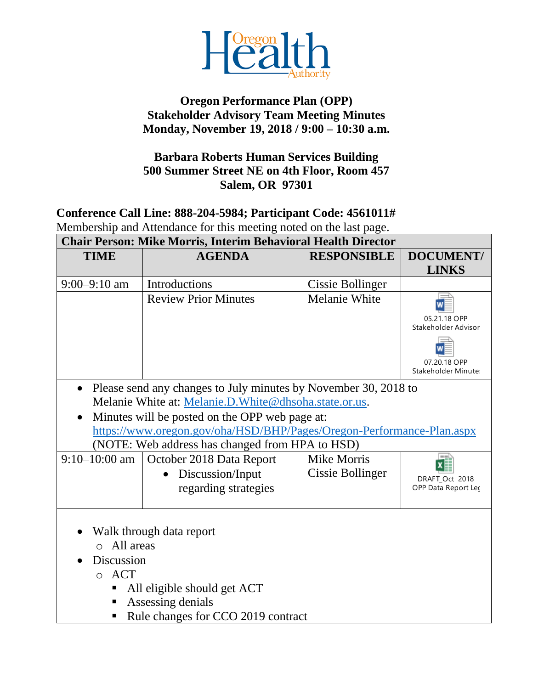

## **Oregon Performance Plan (OPP) Stakeholder Advisory Team Meeting Minutes Monday, November 19, 2018 / 9:00 – 10:30 a.m.**

## **Barbara Roberts Human Services Building 500 Summer Street NE on 4th Floor, Room 457 Salem, OR 97301**

## **Conference Call Line: 888-204-5984; Participant Code: 4561011#** Membership and Attendance for this meeting noted on the last page. **Chair Person: Mike Morris, Interim Behavioral Health Director**

| Unair Person: Mike Morris, Interim Benavioral Health Director |                                                                                                                                                                                                                                                                                                              |                                 |                                       |  |
|---------------------------------------------------------------|--------------------------------------------------------------------------------------------------------------------------------------------------------------------------------------------------------------------------------------------------------------------------------------------------------------|---------------------------------|---------------------------------------|--|
| <b>TIME</b>                                                   | <b>AGENDA</b>                                                                                                                                                                                                                                                                                                | <b>RESPONSIBLE</b>              | DOCUMENT/                             |  |
|                                                               |                                                                                                                                                                                                                                                                                                              |                                 | <b>LINKS</b>                          |  |
| $9:00 - 9:10$ am                                              | Introductions                                                                                                                                                                                                                                                                                                | Cissie Bollinger                |                                       |  |
|                                                               | <b>Review Prior Minutes</b>                                                                                                                                                                                                                                                                                  | <b>Melanie White</b>            |                                       |  |
|                                                               |                                                                                                                                                                                                                                                                                                              |                                 | 05.21.18 OPP                          |  |
|                                                               |                                                                                                                                                                                                                                                                                                              |                                 | Stakeholder Advisor                   |  |
|                                                               |                                                                                                                                                                                                                                                                                                              |                                 |                                       |  |
|                                                               |                                                                                                                                                                                                                                                                                                              |                                 | 07.20.18 OPP<br>Stakeholder Minute    |  |
| $9:10-10:00$ am                                               | Melanie White at: Melanie.D. White@dhsoha.state.or.us.<br>Minutes will be posted on the OPP web page at:<br>https://www.oregon.gov/oha/HSD/BHP/Pages/Oregon-Performance-Plan.aspx<br>(NOTE: Web address has changed from HPA to HSD)<br>October 2018 Data Report<br>Discussion/Input<br>regarding strategies | Mike Morris<br>Cissie Bollinger | DRAFT_Oct 2018<br>OPP Data Report Lec |  |
| All areas<br>$\Omega$<br>Discussion<br><b>ACT</b><br>$\circ$  | Walk through data report<br>All eligible should get ACT<br>Assessing denials<br>Rule changes for CCO 2019 contract                                                                                                                                                                                           |                                 |                                       |  |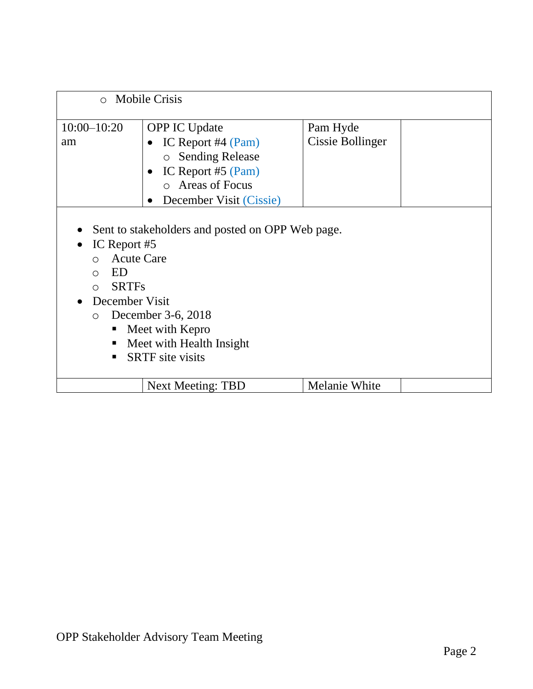| $\circ$ Mobile Crisis                                                                                                                                                                                                                                                                       |                          |                              |  |  |
|---------------------------------------------------------------------------------------------------------------------------------------------------------------------------------------------------------------------------------------------------------------------------------------------|--------------------------|------------------------------|--|--|
| $10:00 - 10:20$<br><b>OPP IC Update</b><br>IC Report #4 $(Pam)$<br>am<br>o Sending Release<br>IC Report #5 (Pam)<br>o Areas of Focus<br>December Visit (Cissie)                                                                                                                             |                          | Pam Hyde<br>Cissie Bollinger |  |  |
| Sent to stakeholders and posted on OPP Web page.<br>IC Report #5<br><b>Acute Care</b><br>$\bigcap$<br>ED<br>$\bigcirc$<br><b>SRTFs</b><br>$\bigcirc$<br>December Visit<br>December 3-6, 2018<br>$\circ$<br>Meet with Kepro<br>п<br>Meet with Health Insight<br>٠<br><b>SRTF</b> site visits |                          |                              |  |  |
|                                                                                                                                                                                                                                                                                             | <b>Next Meeting: TBD</b> | <b>Melanie White</b>         |  |  |